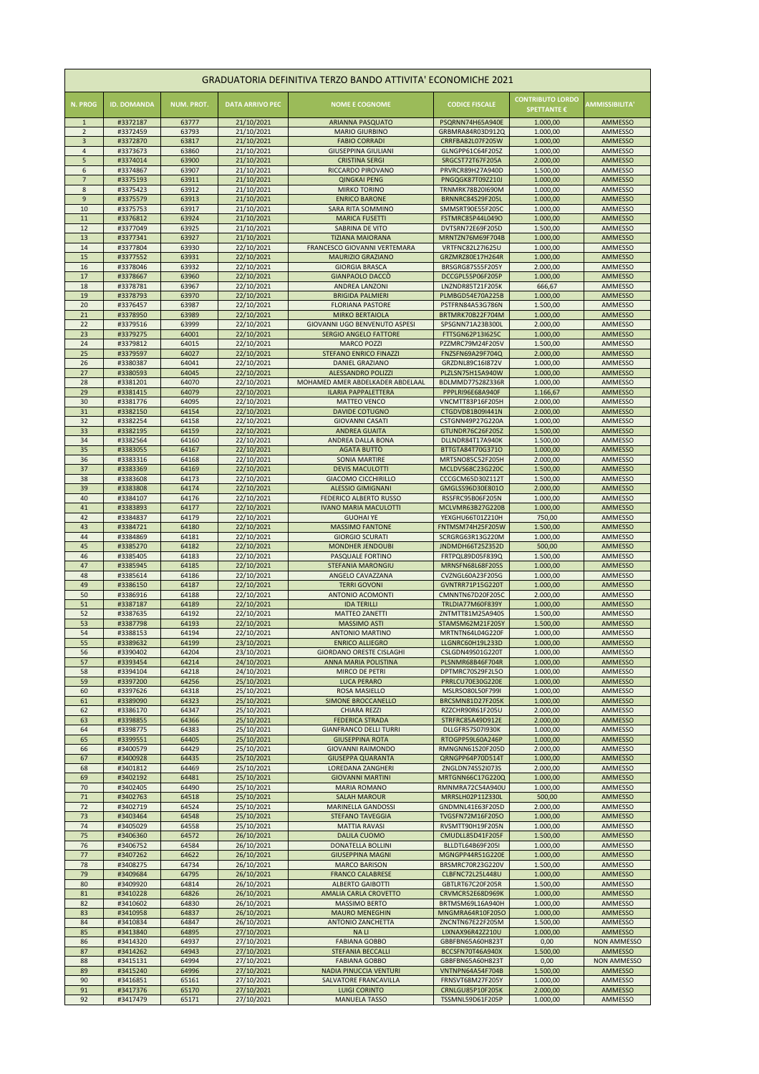| GRADUATORIA DEFINITIVA TERZO BANDO ATTIVITA' ECONOMICHE 2021 |                      |                   |                          |                                                                |                                             |                                               |                                      |  |  |  |  |
|--------------------------------------------------------------|----------------------|-------------------|--------------------------|----------------------------------------------------------------|---------------------------------------------|-----------------------------------------------|--------------------------------------|--|--|--|--|
| <b>N. PROG</b>                                               | <b>ID. DOMANDA</b>   | <b>NUM. PROT.</b> | <b>DATA ARRIVO PEC</b>   | <b>NOME E COGNOME</b>                                          | <b>CODICE FISCALE</b>                       | <b>CONTRIBUTO LORDO</b><br><b>SPETTANTE €</b> | <b>AMMISSIBILITA'</b>                |  |  |  |  |
| $\mathbf{1}$<br>$\overline{2}$                               | #3372187<br>#3372459 | 63777<br>63793    | 21/10/2021<br>21/10/2021 | <b>ARIANNA PASQUATO</b><br><b>MARIO GIURBINO</b>               | PSQRNN74H65A940E<br>GRBMRA84R03D912Q        | 1.000,00<br>1.000,00                          | <b>AMMESSO</b><br><b>AMMESSO</b>     |  |  |  |  |
| $\overline{3}$                                               | #3372870             | 63817             | 21/10/2021               | <b>FABIO CORRADI</b>                                           | CRRFBA82L07F205W                            | 1.000,00                                      | <b>AMMESSO</b>                       |  |  |  |  |
| $\overline{4}$                                               | #3373673             | 63860             | 21/10/2021               | <b>GIUSEPPINA GIULIANI</b>                                     | GLNGPP61C64F205Z                            | 1.000,00                                      | <b>AMMESSO</b>                       |  |  |  |  |
| 5                                                            | #3374014             | 63900             | 21/10/2021               | <b>CRISTINA SERGI</b>                                          | SRGCST72T67F205A                            | 2.000,00                                      | <b>AMMESSO</b>                       |  |  |  |  |
| 6<br>7                                                       | #3374867<br>#3375193 | 63907<br>63911    | 21/10/2021<br>21/10/2021 | RICCARDO PIROVANO                                              | PRVRCR89H27A940D<br><b>PNGQGK87T09Z210J</b> | 1.500,00                                      | <b>AMMESSO</b><br><b>AMMESSO</b>     |  |  |  |  |
| 8                                                            | #3375423             | 63912             | 21/10/2021               | <b>QINGKAI PENG</b><br><b>MIRKO TORINO</b>                     | <b>TRNMRK78B20I690M</b>                     | 1.000,00<br>1.000,00                          | <b>AMMESSO</b>                       |  |  |  |  |
| 9                                                            | #3375579             | 63913             | 21/10/2021               | <b>ENRICO BARONE</b>                                           | BRNNRC84S29F205L                            | 1.000,00                                      | <b>AMMESSO</b>                       |  |  |  |  |
| 10                                                           | #3375753             | 63917             | 21/10/2021               | SARA RITA SOMMINO                                              | SMMSRT90E55F205C                            | 1.000,00                                      | <b>AMMESSO</b>                       |  |  |  |  |
| 11                                                           | #3376812             | 63924             | 21/10/2021               | <b>MARICA FUSETTI</b>                                          | FSTMRC85P44L049O                            | 1.000,00                                      | <b>AMMESSO</b>                       |  |  |  |  |
| 12<br>13                                                     | #3377049<br>#3377341 | 63925<br>63927    | 21/10/2021<br>21/10/2021 | <b>SABRINA DE VITO</b><br><b>TIZIANA MAIORANA</b>              | DVTSRN72E69F205D<br>MRNTZN76M69F704B        | 1.500,00<br>1.000,00                          | <b>AMMESSO</b><br><b>AMMESSO</b>     |  |  |  |  |
| 14                                                           | #3377804             | 63930             | 22/10/2021               | <b>FRANCESCO GIOVANNI VERTEMARA</b>                            | <b>VRTFNC82L27I625U</b>                     | 1.000,00                                      | <b>AMMESSO</b>                       |  |  |  |  |
| 15                                                           | #3377552             | 63931             | 22/10/2021               | <b>MAURIZIO GRAZIANO</b>                                       | GRZMRZ80E17H264R                            | 1.000,00                                      | <b>AMMESSO</b>                       |  |  |  |  |
| 16                                                           | #3378046             | 63932             | 22/10/2021               | <b>GIORGIA BRASCA</b>                                          | <b>BRSGRG87S55F205Y</b>                     | 2.000,00                                      | <b>AMMESSO</b>                       |  |  |  |  |
| 17<br>18                                                     | #3378667<br>#3378781 | 63960<br>63967    | 22/10/2021<br>22/10/2021 | <b>GIANPAOLO DACCÒ</b><br><b>ANDREA LANZONI</b>                | DCCGPL55P06F205P<br>LNZNDR85T21F205K        | 1.000,00<br>666,67                            | <b>AMMESSO</b><br><b>AMMESSO</b>     |  |  |  |  |
| 19                                                           | #3378793             | 63970             | 22/10/2021               | <b>BRIGIDA PALMIERI</b>                                        | PLMBGD54E70A225B                            | 1.000,00                                      | <b>AMMESSO</b>                       |  |  |  |  |
| 20                                                           | #3376457             | 63987             | 22/10/2021               | <b>FLORIANA PASTORE</b>                                        | PSTFRN84A53G786N                            | 1.500,00                                      | <b>AMMESSO</b>                       |  |  |  |  |
| 21                                                           | #3378950             | 63989             | 22/10/2021               | <b>MIRKO BERTAIOLA</b>                                         | BRTMRK70B22F704M                            | 1.000,00                                      | <b>AMMESSO</b>                       |  |  |  |  |
| 22                                                           | #3379516             | 63999             | 22/10/2021               | GIOVANNI UGO BENVENUTO ASPESI                                  | SPSGNN71A23B300L                            | 2.000,00                                      | <b>AMMESSO</b>                       |  |  |  |  |
| 23<br>24                                                     | #3379275<br>#3379812 | 64001<br>64015    | 22/10/2021<br>22/10/2021 | <b>SERGIO ANGELO FATTORE</b><br><b>MARCO POZZI</b>             | FTTSGN62P13I625C<br>PZZMRC79M24F205V        | 1.000,00<br>1.500,00                          | <b>AMMESSO</b><br><b>AMMESSO</b>     |  |  |  |  |
| 25                                                           | #3379597             | 64027             | 22/10/2021               | <b>STEFANO ENRICO FINAZZI</b>                                  | FNZSFN69A29F704Q                            | 2.000,00                                      | <b>AMMESSO</b>                       |  |  |  |  |
| 26                                                           | #3380387             | 64041             | 22/10/2021               | <b>DANIEL GRAZIANO</b>                                         | GRZDNL89C16I872V                            | 1.000,00                                      | <b>AMMESSO</b>                       |  |  |  |  |
| 27                                                           | #3380593             | 64045             | 22/10/2021               | <b>ALESSANDRO POLIZZI</b>                                      | PLZLSN75H15A940W                            | 1.000,00                                      | <b>AMMESSO</b>                       |  |  |  |  |
| 28<br>29                                                     | #3381201<br>#3381415 | 64070<br>64079    | 22/10/2021<br>22/10/2021 | MOHAMED AMER ABDELKADER ABDELAAL<br><b>ILARIA PAPPALETTERA</b> | BDLMMD77S28Z336R<br>PPPLRI96E68A940F        | 1.000,00<br>1.166,67                          | <b>AMMESSO</b><br><b>AMMESSO</b>     |  |  |  |  |
| 30                                                           | #3381776             | 64095             | 22/10/2021               | <b>MATTEO VENCO</b>                                            | VNCMTT83P16F205H                            | 2.000,00                                      | <b>AMMESSO</b>                       |  |  |  |  |
| 31                                                           | #3382150             | 64154             | 22/10/2021               | <b>DAVIDE COTUGNO</b>                                          | CTGDVD81B09I441N                            | 2.000,00                                      | <b>AMMESSO</b>                       |  |  |  |  |
| 32                                                           | #3382254             | 64158             | 22/10/2021               | <b>GIOVANNI CASATI</b>                                         | CSTGNN49P27G220A                            | 1.000,00                                      | AMMESSO                              |  |  |  |  |
| 33                                                           | #3382195             | 64159             | 22/10/2021               | <b>ANDREA GUAITA</b>                                           | GTUNDR76C26F205Z                            | 1.500,00                                      | <b>AMMESSO</b>                       |  |  |  |  |
| 34<br>35                                                     | #3382564<br>#3383055 | 64160<br>64167    | 22/10/2021<br>22/10/2021 | ANDREA DALLA BONA<br>AGATA BUTTO                               | DLLNDR84T17A940K<br>BTTGTA84T70G371O        | 1.500,00<br>1.000,00                          | <b>AMMESSO</b><br><b>AMMESSO</b>     |  |  |  |  |
| 36                                                           | #3383316             | 64168             | 22/10/2021               | <b>SONIA MARTIRE</b>                                           | MRTSNO85C52F205H                            | 2.000,00                                      | AMMESSO                              |  |  |  |  |
| 37                                                           | #3383369             | 64169             | 22/10/2021               | <b>DEVIS MACULOTTI</b>                                         | MCLDVS68C23G220C                            | 1.500,00                                      | <b>AMMESSO</b>                       |  |  |  |  |
| 38                                                           | #3383608             | 64173             | 22/10/2021               | <b>GIACOMO CICCHIRILLO</b>                                     | CCCGCM65D30Z112T                            | 1.500,00                                      | AMMESSO                              |  |  |  |  |
| 39<br>40                                                     | #3383808<br>#3384107 | 64174<br>64176    | 22/10/2021<br>22/10/2021 | <b>ALESSIO GIMIGNANI</b><br><b>FEDERICO ALBERTO RUSSO</b>      | GMGLSS96D30E801O<br>RSSFRC95B06F205N        | 2.000,00<br>1.000,00                          | <b>AMMESSO</b><br><b>AMMESSO</b>     |  |  |  |  |
| 41                                                           | #3383893             | 64177             | 22/10/2021               | <b>IVANO MARIA MACULOTTI</b>                                   | MCLVMR63B27G220B                            | 1.000,00                                      | <b>AMMESSO</b>                       |  |  |  |  |
| 42                                                           | #3384837             | 64179             | 22/10/2021               | <b>GUOHAI YE</b>                                               | YEXGHU66T01Z210H                            | 750,00                                        | <b>AMMESSO</b>                       |  |  |  |  |
| 43                                                           | #3384721             | 64180             | 22/10/2021               | <b>MASSIMO FANTONE</b>                                         | FNTMSM74H25F205W                            | 1.500,00                                      | <b>AMMESSO</b>                       |  |  |  |  |
| 44<br>45                                                     | #3384869<br>#3385270 | 64181<br>64182    | 22/10/2021               | <b>GIORGIO SCURATI</b><br><b>MONDHER JENDOUBI</b>              | SCRGRG63R13G220M<br>JNDMDH66T25Z352D        | 1.000,00<br>500,00                            | <b>AMMESSO</b><br><b>AMMESSO</b>     |  |  |  |  |
| 46                                                           | #3385405             | 64183             | 22/10/2021<br>22/10/2021 | PASQUALE FORTINO                                               | FRTPQL89D05F839Q                            | 1.500,00                                      | AMMESSO                              |  |  |  |  |
| 47                                                           | #3385945             | 64185             | 22/10/2021               | <b>STEFANIA MARONGIU</b>                                       | <b>MRNSFN68L68F205S</b>                     | 1.000,00                                      | <b>AMMESSO</b>                       |  |  |  |  |
| 48                                                           | #3385614             | 64186             | 22/10/2021               | ANGELO CAVAZZANA                                               | CVZNGL60A23F205G                            | 1.000,00                                      | <b>AMMESSO</b>                       |  |  |  |  |
| 49<br>50                                                     | #3386150             | 64187             | 22/10/2021               | <b>TERRI GOVONI</b><br><b>ANTONIO ACOMONTI</b>                 | GVNTRR71P15G220T                            | 1.000,00                                      | <b>AMMESSO</b>                       |  |  |  |  |
| 51                                                           | #3386916<br>#3387187 | 64188<br>64189    | 22/10/2021<br>22/10/2021 | <b>IDA TERILLI</b>                                             | CMNNTN67D20F205C<br>TRLDIA77M60F839Y        | 2.000,00<br>1.000,00                          | AMMESSO<br><b>AMMESSO</b>            |  |  |  |  |
| 52                                                           | #3387635             | 64192             | 22/10/2021               | <b>MATTEO ZANETTI</b>                                          | ZNTMTT81M25A940S                            | 1.500,00                                      | <b>AMMESSO</b>                       |  |  |  |  |
| 53                                                           | #3387798             | 64193             | 22/10/2021               | <b>MASSIMO ASTI</b>                                            | <b>STAMSM62M21F205Y</b>                     | 1.500,00                                      | <b>AMMESSO</b>                       |  |  |  |  |
| 54                                                           | #3388153             | 64194             | 22/10/2021               | <b>ANTONIO MARTINO</b>                                         | MRTNTN64L04G220F                            | 1.000,00                                      | <b>AMMESSO</b>                       |  |  |  |  |
| 55<br>56                                                     | #3389632<br>#3390402 | 64199<br>64204    | 23/10/2021<br>23/10/2021 | <b>ENRICO ALLIEGRO</b><br><b>GIORDANO ORESTE CISLAGHI</b>      | LLGNRC60H19L233D<br>CSLGDN49S01G220T        | 1.000,00<br>1.000,00                          | <b>AMMESSO</b><br><b>AMMESSO</b>     |  |  |  |  |
| 57                                                           | #3393454             | 64214             | 24/10/2021               | ANNA MARIA POLISTINA                                           | PLSNMR68B46F704R                            | 1.000,00                                      | <b>AMMESSO</b>                       |  |  |  |  |
| 58                                                           | #3394104             | 64218             | 24/10/2021               | <b>MIRCO DE PETRI</b>                                          | DPTMRC70S29F2L5O                            | 1.000,00                                      | <b>AMMESSO</b>                       |  |  |  |  |
| 59                                                           | #3397200             | 64256             | 25/10/2021               | <b>LUCA PERARO</b>                                             | PRRLCU70E30G220E                            | 1.000,00                                      | <b>AMMESSO</b>                       |  |  |  |  |
| 60<br>61                                                     | #3397626<br>#3389090 | 64318<br>64323    | 25/10/2021<br>25/10/2021 | <b>ROSA MASIELLO</b><br><b>SIMONE BROCCANELLO</b>              | MSLRSO80L50F799I<br>BRCSMN81D27F205K        | 1.000,00<br>1.000,00                          | <b>AMMESSO</b><br><b>AMMESSO</b>     |  |  |  |  |
| 62                                                           | #3386170             | 64347             | 25/10/2021               | <b>CHIARA REZZI</b>                                            | RZZCHR90R61F205U                            | 2.000,00                                      | AMMESSO                              |  |  |  |  |
| 63                                                           | #3398855             | 64366             | 25/10/2021               | <b>FEDERICA STRADA</b>                                         | STRFRC85A49D912E                            | 2.000,00                                      | <b>AMMESSO</b>                       |  |  |  |  |
| 64                                                           | #3398775             | 64383             | 25/10/2021               | <b>GIANFRANCO DELLI TURRI</b>                                  | DLLGFR57S07I930K                            | 1.000,00                                      | AMMESSO                              |  |  |  |  |
| 65<br>66                                                     | #3399551<br>#3400579 | 64405<br>64429    | 25/10/2021<br>25/10/2021 | <b>GIUSEPPINA ROTA</b><br><b>GIOVANNI RAIMONDO</b>             | RTOGPP59L60A246P<br>RMNGNN61S20F205D        | 1.000,00<br>2.000,00                          | <b>AMMESSO</b><br>AMMESSO            |  |  |  |  |
| 67                                                           | #3400928             | 64435             | 25/10/2021               | <b>GIUSEPPA QUARANTA</b>                                       | QRNGPP64P70D514T                            | 1.000,00                                      | <b>AMMESSO</b>                       |  |  |  |  |
| 68                                                           | #3401812             | 64469             | 25/10/2021               | <b>LOREDANA ZANGHERI</b>                                       | ZNGLDN74S52I073S                            | 2.000,00                                      | <b>AMMESSO</b>                       |  |  |  |  |
| 69                                                           | #3402192             | 64481             | 25/10/2021               | <b>GIOVANNI MARTINI</b>                                        | MRTGNN66C17G220Q                            | 1.000,00                                      | <b>AMMESSO</b>                       |  |  |  |  |
| 70                                                           | #3402405             | 64490             | 25/10/2021               | <b>MARIA ROMANO</b>                                            | RMNMRA72C54A940U                            | 1.000,00                                      | <b>AMMESSO</b>                       |  |  |  |  |
| 71<br>72                                                     | #3402763<br>#3402719 | 64518<br>64524    | 25/10/2021<br>25/10/2021 | <b>SALAH MAROUR</b><br><b>MARINELLA GANDOSSI</b>               | MRRSLH02P11Z330L<br>GNDMNL41E63F205D        | 500,00<br>2.000,00                            | <b>AMMESSO</b><br><b>AMMESSO</b>     |  |  |  |  |
| 73                                                           | #3403464             | 64548             | 25/10/2021               | <b>STEFANO TAVEGGIA</b>                                        | TVGSFN72M16F205O                            | 1.000,00                                      | <b>AMMESSO</b>                       |  |  |  |  |
| 74                                                           | #3405029             | 64558             | 25/10/2021               | <b>MATTIA RAVASI</b>                                           | RVSMTT90H19F205N                            | 1.000,00                                      | <b>AMMESSO</b>                       |  |  |  |  |
| 75                                                           | #3406360             | 64572             | 26/10/2021               | <b>DALILA CUOMO</b>                                            | CMUDLL85D41F205F                            | 1.500,00                                      | <b>AMMESSO</b>                       |  |  |  |  |
| 76<br>77                                                     | #3406752<br>#3407262 | 64584<br>64622    | 26/10/2021<br>26/10/2021 | <b>DONATELLA BOLLINI</b><br><b>GIUSEPPINA MAGNI</b>            | <b>BLLDTL64B69F205I</b><br>MGNGPP44R51G220E | 1.000,00<br>1.000,00                          | <b>AMMESSO</b><br><b>AMMESSO</b>     |  |  |  |  |
| 78                                                           | #3408275             | 64734             | 26/10/2021               | <b>MARCO BARISON</b>                                           | BRSMRC70R23G220V                            | 1.500,00                                      | <b>AMMESSO</b>                       |  |  |  |  |
| 79                                                           | #3409684             | 64795             | 26/10/2021               | <b>FRANCO CALABRESE</b>                                        | <b>CLBFNC72L25L448U</b>                     | 1.000,00                                      | <b>AMMESSO</b>                       |  |  |  |  |
| 80                                                           | #3409920             | 64814             | 26/10/2021               | <b>ALBERTO GAIBOTTI</b>                                        | GBTLRT67C20F205R                            | 1.500,00                                      | <b>AMMESSO</b>                       |  |  |  |  |
| 81<br>82                                                     | #3410228<br>#3410602 | 64826<br>64830    | 26/10/2021<br>26/10/2021 | <b>AMALIA CARLA CROVETTO</b><br><b>MASSIMO BERTO</b>           | CRVMCR52E68D969K<br>BRTMSM69L16A940H        | 1.000,00<br>1.000,00                          | <b>AMMESSO</b><br><b>AMMESSO</b>     |  |  |  |  |
| 83                                                           | #3410958             | 64837             | 26/10/2021               | <b>MAURO MENEGHIN</b>                                          | MNGMRA64R10F205O                            | 1.000,00                                      | <b>AMMESSO</b>                       |  |  |  |  |
| 84                                                           | #3410834             | 64847             | 26/10/2021               | <b>ANTONIO ZANCHETTA</b>                                       | ZNCNTN67E22F205M                            | 1.500,00                                      | AMMESSO                              |  |  |  |  |
| 85                                                           | #3413840             | 64895             | 27/10/2021               | <b>NALI</b>                                                    | LIXNAX96R42Z210U                            | 1.000,00                                      | <b>AMMESSO</b>                       |  |  |  |  |
| 86<br>87                                                     | #3414320<br>#3414262 | 64937<br>64943    | 27/10/2021<br>27/10/2021 | <b>FABIANA GOBBO</b><br><b>STEFANIA BECCALLI</b>               | GBBFBN65A60H823T<br>BCCSFN70T46A940X        | 0,00<br>1.500,00                              | <b>NON AMMESSO</b><br><b>AMMESSO</b> |  |  |  |  |
| 88                                                           | #3415131             | 64994             | 27/10/2021               | <b>FABIANA GOBBO</b>                                           | GBBFBN65A60H823T                            | 0,00                                          | NON AMMESSO                          |  |  |  |  |
| 89                                                           | #3415240             | 64996             | 27/10/2021               | <b>NADIA PINUCCIA VENTURI</b>                                  | VNTNPN64A54F704B                            | 1.500,00                                      | <b>AMMESSO</b>                       |  |  |  |  |
| 90                                                           | #3416851             | 65161             | 27/10/2021               | SALVATORE FRANCAVILLA                                          | FRNSVT68M27F205Y                            | 1.000,00                                      | <b>AMMESSO</b>                       |  |  |  |  |
| 91<br>92                                                     | #3417376<br>#3417479 | 65170<br>65171    | 27/10/2021               | <b>LUIGI CORINTO</b><br><b>MANUELA TASSO</b>                   | CRNLGU85P10F205K<br>TSSMNL59D61F205P        | 2.000,00                                      | <b>AMMESSO</b><br>AMMESSO            |  |  |  |  |
|                                                              |                      |                   | 27/10/2021               |                                                                |                                             | 1.000,00                                      |                                      |  |  |  |  |